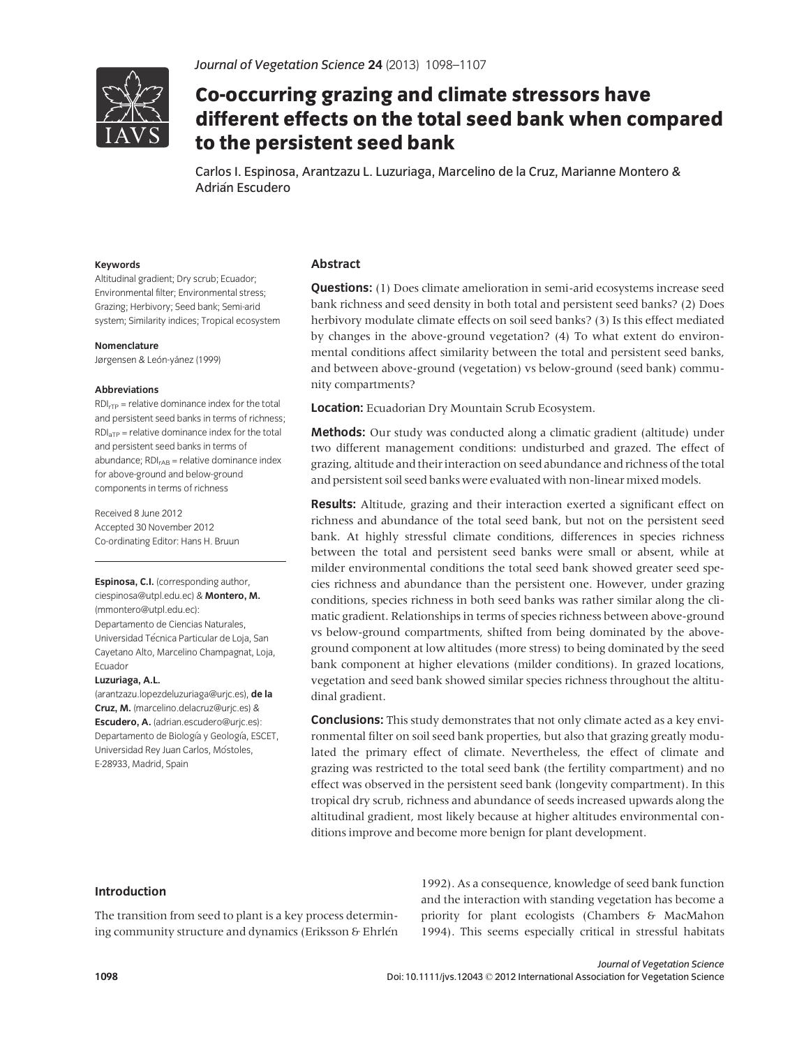

# Co-occurring grazing and climate stressors have different effects on the total seed bank when compared to the persistent seed bank

Carlos I. Espinosa, Arantzazu L. Luzuriaga, Marcelino de la Cruz, Marianne Montero & Adrián Escudero

## Keywords

Altitudinal gradient; Dry scrub; Ecuador; Environmental filter; Environmental stress; Grazing; Herbivory; Seed bank; Semi-arid system; Similarity indices; Tropical ecosystem

## Nomenclature

Jørgensen & León-yánez (1999)

## Abbreviations

 $RDI<sub>rTP</sub>$  = relative dominance index for the total and persistent seed banks in terms of richness;  $RDI<sub>app</sub>$  = relative dominance index for the total and persistent seed banks in terms of abundance;  $RDI<sub>rAB</sub> =$  relative dominance index for above-ground and below-ground components in terms of richness

Received 8 June 2012 Accepted 30 November 2012 Co-ordinating Editor: Hans H. Bruun

Espinosa, C.I. (corresponding author, ciespinosa@utpl.edu.ec) & Montero, M. (mmontero@utpl.edu.ec): Departamento de Ciencias Naturales, Universidad Técnica Particular de Loja, San Cayetano Alto, Marcelino Champagnat, Loja, Ecuador

#### Luzuriaga, A.L.

(arantzazu.lopezdeluzuriaga@urjc.es), de la Cruz, M. (marcelino.delacruz@urjc.es) & Escudero, A. (adrian.escudero@urjc.es): Departamento de Biología y Geología, ESCET, Universidad Rey Juan Carlos, Móstoles, E-28933, Madrid, Spain

# Abstract

Questions: (1) Does climate amelioration in semi-arid ecosystems increase seed bank richness and seed density in both total and persistent seed banks? (2) Does herbivory modulate climate effects on soil seed banks? (3) Is this effect mediated by changes in the above-ground vegetation? (4) To what extent do environmental conditions affect similarity between the total and persistent seed banks, and between above-ground (vegetation) vs below-ground (seed bank) community compartments?

Location: Ecuadorian Dry Mountain Scrub Ecosystem.

Methods: Our study was conducted along a climatic gradient (altitude) under two different management conditions: undisturbed and grazed. The effect of grazing, altitude and their interaction on seed abundance and richness of the total and persistent soil seed banks were evaluated with non-linear mixed models.

Results: Altitude, grazing and their interaction exerted a significant effect on richness and abundance of the total seed bank, but not on the persistent seed bank. At highly stressful climate conditions, differences in species richness between the total and persistent seed banks were small or absent, while at milder environmental conditions the total seed bank showed greater seed species richness and abundance than the persistent one. However, under grazing conditions, species richness in both seed banks was rather similar along the climatic gradient. Relationships in terms of species richness between above-ground vs below-ground compartments, shifted from being dominated by the aboveground component at low altitudes (more stress) to being dominated by the seed bank component at higher elevations (milder conditions). In grazed locations, vegetation and seed bank showed similar species richness throughout the altitudinal gradient.

**Conclusions:** This study demonstrates that not only climate acted as a key environmental filter on soil seed bank properties, but also that grazing greatly modulated the primary effect of climate. Nevertheless, the effect of climate and grazing was restricted to the total seed bank (the fertility compartment) and no effect was observed in the persistent seed bank (longevity compartment). In this tropical dry scrub, richness and abundance of seeds increased upwards along the altitudinal gradient, most likely because at higher altitudes environmental conditions improve and become more benign for plant development.

# Introduction

The transition from seed to plant is a key process determining community structure and dynamics (Eriksson & Ehrlén

1992). As a consequence, knowledge of seed bank function and the interaction with standing vegetation has become a priority for plant ecologists (Chambers & MacMahon 1994). This seems especially critical in stressful habitats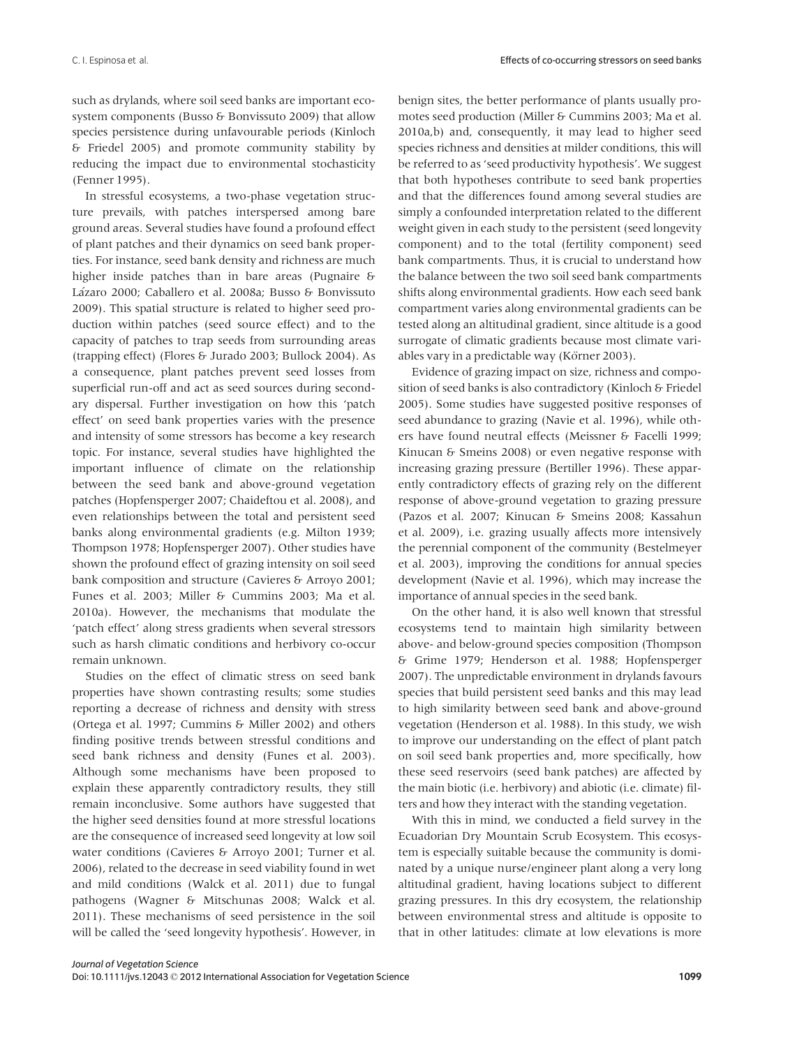such as drylands, where soil seed banks are important ecosystem components (Busso & Bonvissuto 2009) that allow species persistence during unfavourable periods (Kinloch & Friedel 2005) and promote community stability by reducing the impact due to environmental stochasticity (Fenner 1995).

In stressful ecosystems, a two-phase vegetation structure prevails, with patches interspersed among bare ground areas. Several studies have found a profound effect of plant patches and their dynamics on seed bank properties. For instance, seed bank density and richness are much higher inside patches than in bare areas (Pugnaire & Lázaro 2000; Caballero et al. 2008a; Busso & Bonvissuto 2009). This spatial structure is related to higher seed production within patches (seed source effect) and to the capacity of patches to trap seeds from surrounding areas (trapping effect) (Flores & Jurado 2003; Bullock 2004). As a consequence, plant patches prevent seed losses from superficial run-off and act as seed sources during secondary dispersal. Further investigation on how this 'patch effect' on seed bank properties varies with the presence and intensity of some stressors has become a key research topic. For instance, several studies have highlighted the important influence of climate on the relationship between the seed bank and above-ground vegetation patches (Hopfensperger 2007; Chaideftou et al. 2008), and even relationships between the total and persistent seed banks along environmental gradients (e.g. Milton 1939; Thompson 1978; Hopfensperger 2007). Other studies have shown the profound effect of grazing intensity on soil seed bank composition and structure (Cavieres & Arroyo 2001; Funes et al. 2003; Miller & Cummins 2003; Ma et al. 2010a). However, the mechanisms that modulate the 'patch effect' along stress gradients when several stressors such as harsh climatic conditions and herbivory co-occur remain unknown.

Studies on the effect of climatic stress on seed bank properties have shown contrasting results; some studies reporting a decrease of richness and density with stress (Ortega et al. 1997; Cummins & Miller 2002) and others finding positive trends between stressful conditions and seed bank richness and density (Funes et al. 2003). Although some mechanisms have been proposed to explain these apparently contradictory results, they still remain inconclusive. Some authors have suggested that the higher seed densities found at more stressful locations are the consequence of increased seed longevity at low soil water conditions (Cavieres & Arroyo 2001; Turner et al. 2006), related to the decrease in seed viability found in wet and mild conditions (Walck et al. 2011) due to fungal pathogens (Wagner & Mitschunas 2008; Walck et al. 2011). These mechanisms of seed persistence in the soil will be called the 'seed longevity hypothesis'. However, in

benign sites, the better performance of plants usually promotes seed production (Miller & Cummins 2003; Ma et al. 2010a,b) and, consequently, it may lead to higher seed species richness and densities at milder conditions, this will be referred to as 'seed productivity hypothesis'. We suggest that both hypotheses contribute to seed bank properties and that the differences found among several studies are simply a confounded interpretation related to the different weight given in each study to the persistent (seed longevity component) and to the total (fertility component) seed bank compartments. Thus, it is crucial to understand how the balance between the two soil seed bank compartments shifts along environmental gradients. How each seed bank compartment varies along environmental gradients can be tested along an altitudinal gradient, since altitude is a good surrogate of climatic gradients because most climate variables vary in a predictable way (Körner 2003).

Evidence of grazing impact on size, richness and composition of seed banks is also contradictory (Kinloch & Friedel 2005). Some studies have suggested positive responses of seed abundance to grazing (Navie et al. 1996), while others have found neutral effects (Meissner & Facelli 1999; Kinucan & Smeins 2008) or even negative response with increasing grazing pressure (Bertiller 1996). These apparently contradictory effects of grazing rely on the different response of above-ground vegetation to grazing pressure (Pazos et al. 2007; Kinucan & Smeins 2008; Kassahun et al. 2009), i.e. grazing usually affects more intensively the perennial component of the community (Bestelmeyer et al. 2003), improving the conditions for annual species development (Navie et al. 1996), which may increase the importance of annual species in the seed bank.

On the other hand, it is also well known that stressful ecosystems tend to maintain high similarity between above- and below-ground species composition (Thompson & Grime 1979; Henderson et al. 1988; Hopfensperger 2007). The unpredictable environment in drylands favours species that build persistent seed banks and this may lead to high similarity between seed bank and above-ground vegetation (Henderson et al. 1988). In this study, we wish to improve our understanding on the effect of plant patch on soil seed bank properties and, more specifically, how these seed reservoirs (seed bank patches) are affected by the main biotic (i.e. herbivory) and abiotic (i.e. climate) filters and how they interact with the standing vegetation.

With this in mind, we conducted a field survey in the Ecuadorian Dry Mountain Scrub Ecosystem. This ecosystem is especially suitable because the community is dominated by a unique nurse/engineer plant along a very long altitudinal gradient, having locations subject to different grazing pressures. In this dry ecosystem, the relationship between environmental stress and altitude is opposite to that in other latitudes: climate at low elevations is more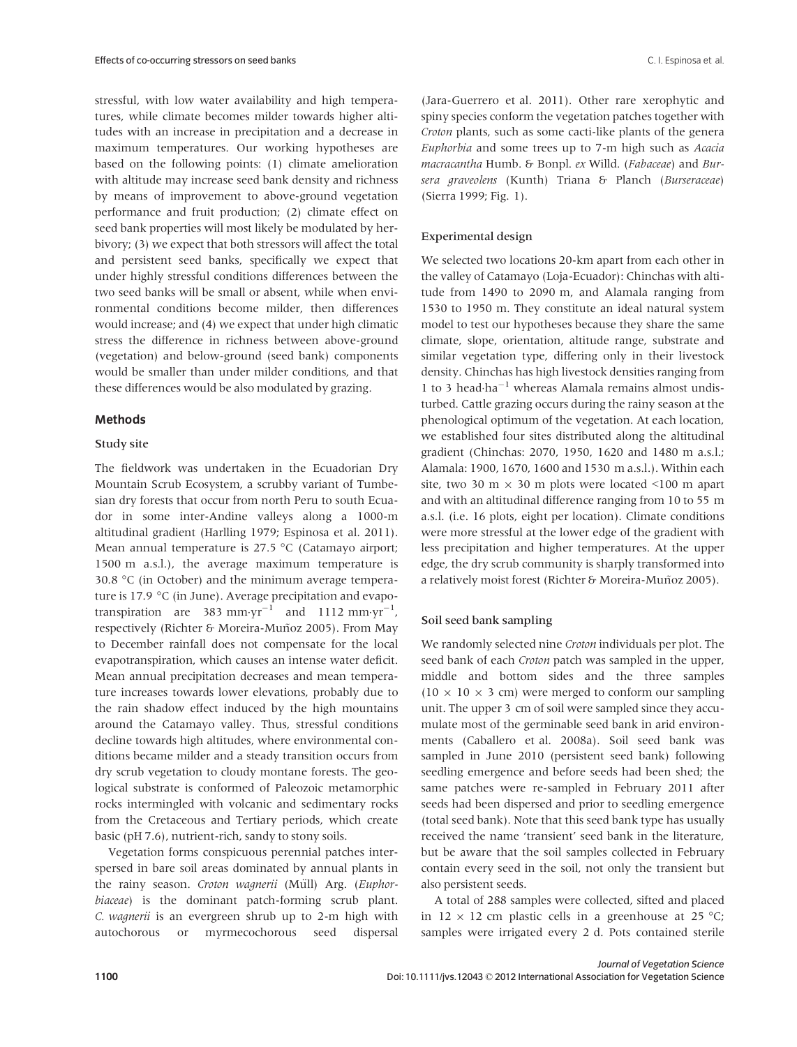stressful, with low water availability and high temperatures, while climate becomes milder towards higher altitudes with an increase in precipitation and a decrease in maximum temperatures. Our working hypotheses are based on the following points: (1) climate amelioration with altitude may increase seed bank density and richness by means of improvement to above-ground vegetation performance and fruit production; (2) climate effect on seed bank properties will most likely be modulated by herbivory; (3) we expect that both stressors will affect the total and persistent seed banks, specifically we expect that under highly stressful conditions differences between the two seed banks will be small or absent, while when environmental conditions become milder, then differences would increase; and (4) we expect that under high climatic stress the difference in richness between above-ground (vegetation) and below-ground (seed bank) components would be smaller than under milder conditions, and that these differences would be also modulated by grazing.

# Methods

## Study site

The fieldwork was undertaken in the Ecuadorian Dry Mountain Scrub Ecosystem, a scrubby variant of Tumbesian dry forests that occur from north Peru to south Ecuador in some inter-Andine valleys along a 1000-m altitudinal gradient (Harlling 1979; Espinosa et al. 2011). Mean annual temperature is 27.5 °C (Catamayo airport; 1500 m a.s.l.), the average maximum temperature is 30.8 °C (in October) and the minimum average temperature is 17.9 °C (in June). Average precipitation and evapotranspiration are 383 mm· $yr^{-1}$  and 1112 mm· $yr^{-1}$ , respectively (Richter & Moreira-Muñoz 2005). From May to December rainfall does not compensate for the local evapotranspiration, which causes an intense water deficit. Mean annual precipitation decreases and mean temperature increases towards lower elevations, probably due to the rain shadow effect induced by the high mountains around the Catamayo valley. Thus, stressful conditions decline towards high altitudes, where environmental conditions became milder and a steady transition occurs from dry scrub vegetation to cloudy montane forests. The geological substrate is conformed of Paleozoic metamorphic rocks intermingled with volcanic and sedimentary rocks from the Cretaceous and Tertiary periods, which create basic (pH 7.6), nutrient-rich, sandy to stony soils.

Vegetation forms conspicuous perennial patches interspersed in bare soil areas dominated by annual plants in the rainy season. Croton wagnerii (Müll) Arg. (Euphorbiaceae) is the dominant patch-forming scrub plant. C. wagnerii is an evergreen shrub up to 2-m high with autochorous or myrmecochorous seed dispersal

(Jara-Guerrero et al. 2011). Other rare xerophytic and spiny species conform the vegetation patches together with Croton plants, such as some cacti-like plants of the genera Euphorbia and some trees up to 7-m high such as Acacia macracantha Humb. & Bonpl. ex Willd. (Fabaceae) and Bursera graveolens (Kunth) Triana & Planch (Burseraceae) (Sierra 1999; Fig. 1).

## Experimental design

We selected two locations 20-km apart from each other in the valley of Catamayo (Loja-Ecuador): Chinchas with altitude from 1490 to 2090 m, and Alamala ranging from 1530 to 1950 m. They constitute an ideal natural system model to test our hypotheses because they share the same climate, slope, orientation, altitude range, substrate and similar vegetation type, differing only in their livestock density. Chinchas has high livestock densities ranging from 1 to 3 head ha<sup> $-1$ </sup> whereas Alamala remains almost undisturbed. Cattle grazing occurs during the rainy season at the phenological optimum of the vegetation. At each location, we established four sites distributed along the altitudinal gradient (Chinchas: 2070, 1950, 1620 and 1480 m a.s.l.; Alamala: 1900, 1670, 1600 and 1530 m a.s.l.). Within each site, two 30 m  $\times$  30 m plots were located <100 m apart and with an altitudinal difference ranging from 10 to 55 m a.s.l. (i.e. 16 plots, eight per location). Climate conditions were more stressful at the lower edge of the gradient with less precipitation and higher temperatures. At the upper edge, the dry scrub community is sharply transformed into a relatively moist forest (Richter & Moreira-Muñoz 2005).

#### Soil seed bank sampling

We randomly selected nine Croton individuals per plot. The seed bank of each *Croton* patch was sampled in the upper, middle and bottom sides and the three samples  $(10 \times 10 \times 3$  cm) were merged to conform our sampling unit. The upper 3 cm of soil were sampled since they accumulate most of the germinable seed bank in arid environments (Caballero et al. 2008a). Soil seed bank was sampled in June 2010 (persistent seed bank) following seedling emergence and before seeds had been shed; the same patches were re-sampled in February 2011 after seeds had been dispersed and prior to seedling emergence (total seed bank). Note that this seed bank type has usually received the name 'transient' seed bank in the literature, but be aware that the soil samples collected in February contain every seed in the soil, not only the transient but also persistent seeds.

A total of 288 samples were collected, sifted and placed in  $12 \times 12$  cm plastic cells in a greenhouse at 25 °C; samples were irrigated every 2 d. Pots contained sterile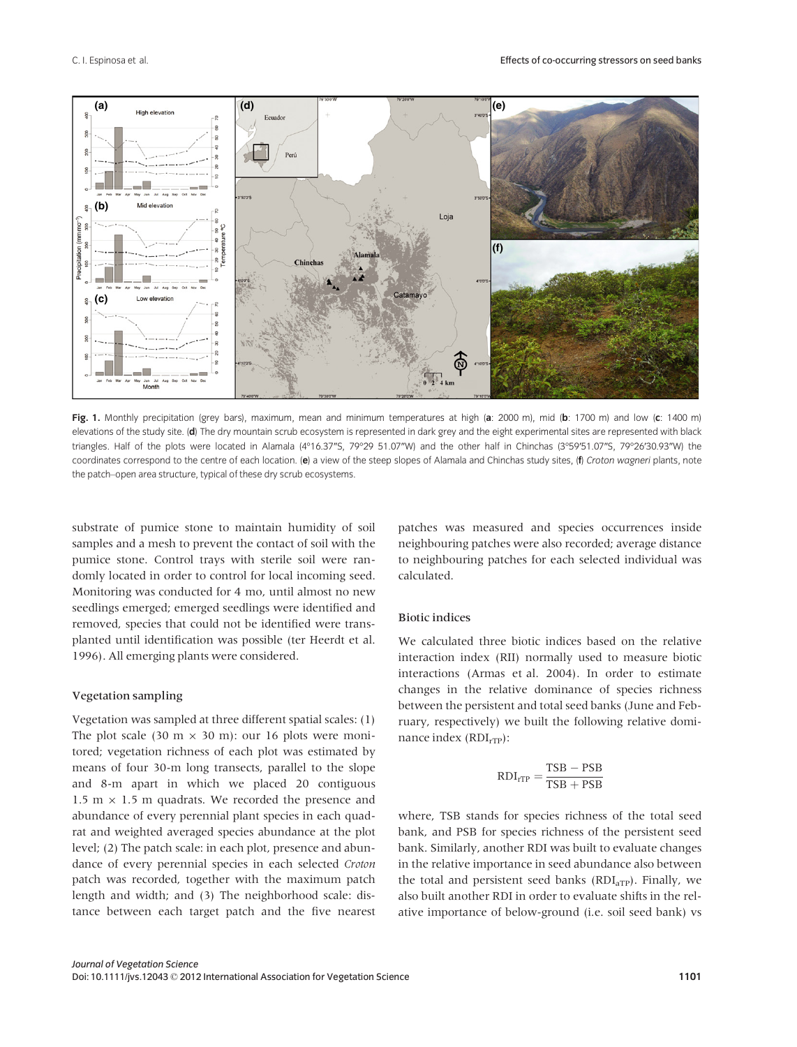

Fig. 1. Monthly precipitation (grey bars), maximum, mean and minimum temperatures at high (a: 2000 m), mid (b: 1700 m) and low (c: 1400 m) elevations of the study site. (d) The dry mountain scrub ecosystem is represented in dark grey and the eight experimental sites are represented with black triangles. Half of the plots were located in Alamala (4°16.37″S, 79°29 51.07″W) and the other half in Chinchas (3°59′51.07″S, 79°26′30.93″W) the coordinates correspond to the centre of each location. (e) a view of the steep slopes of Alamala and Chinchas study sites, (f) Croton wagneri plants, note the patch–open area structure, typical of these dry scrub ecosystems.

substrate of pumice stone to maintain humidity of soil samples and a mesh to prevent the contact of soil with the pumice stone. Control trays with sterile soil were randomly located in order to control for local incoming seed. Monitoring was conducted for 4 mo, until almost no new seedlings emerged; emerged seedlings were identified and removed, species that could not be identified were transplanted until identification was possible (ter Heerdt et al. 1996). All emerging plants were considered.

## Vegetation sampling

Vegetation was sampled at three different spatial scales: (1) The plot scale (30 m  $\times$  30 m): our 16 plots were monitored; vegetation richness of each plot was estimated by means of four 30-m long transects, parallel to the slope and 8-m apart in which we placed 20 contiguous 1.5 m  $\times$  1.5 m quadrats. We recorded the presence and abundance of every perennial plant species in each quadrat and weighted averaged species abundance at the plot level; (2) The patch scale: in each plot, presence and abundance of every perennial species in each selected Croton patch was recorded, together with the maximum patch length and width; and (3) The neighborhood scale: distance between each target patch and the five nearest patches was measured and species occurrences inside neighbouring patches were also recorded; average distance to neighbouring patches for each selected individual was calculated.

## Biotic indices

We calculated three biotic indices based on the relative interaction index (RII) normally used to measure biotic interactions (Armas et al. 2004). In order to estimate changes in the relative dominance of species richness between the persistent and total seed banks (June and February, respectively) we built the following relative dominance index (RDI<sub>rTP</sub>):

$$
RDI_{rTP} = \frac{TSB - PSB}{TSB + PSB}
$$

where, TSB stands for species richness of the total seed bank, and PSB for species richness of the persistent seed bank. Similarly, another RDI was built to evaluate changes in the relative importance in seed abundance also between the total and persistent seed banks ( $RDI<sub>aTP</sub>$ ). Finally, we also built another RDI in order to evaluate shifts in the relative importance of below-ground (i.e. soil seed bank) vs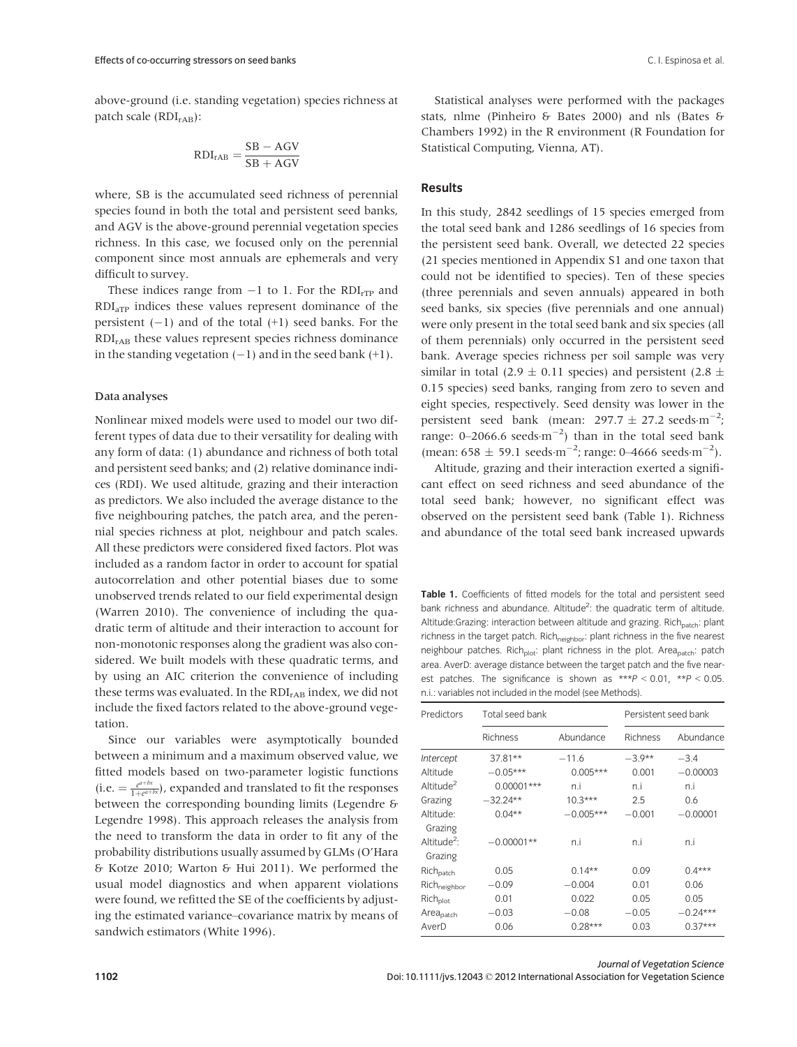above-ground (i.e. standing vegetation) species richness at patch scale ( $RDI<sub>rAB</sub>$ ):

$$
RDIrAB = \frac{SB - AGV}{SB + AGV}
$$

where, SB is the accumulated seed richness of perennial species found in both the total and persistent seed banks, and AGV is the above-ground perennial vegetation species richness. In this case, we focused only on the perennial component since most annuals are ephemerals and very difficult to survey.

These indices range from  $-1$  to 1. For the RDI<sub>rTP</sub> and RDIaTP indices these values represent dominance of the persistent  $(-1)$  and of the total  $(+1)$  seed banks. For the RDIrAB these values represent species richness dominance in the standing vegetation  $(-1)$  and in the seed bank  $(+1)$ .

## Data analyses

Nonlinear mixed models were used to model our two different types of data due to their versatility for dealing with any form of data: (1) abundance and richness of both total and persistent seed banks; and (2) relative dominance indices (RDI). We used altitude, grazing and their interaction as predictors. We also included the average distance to the five neighbouring patches, the patch area, and the perennial species richness at plot, neighbour and patch scales. All these predictors were considered fixed factors. Plot was included as a random factor in order to account for spatial autocorrelation and other potential biases due to some unobserved trends related to our field experimental design (Warren 2010). The convenience of including the quadratic term of altitude and their interaction to account for non-monotonic responses along the gradient was also considered. We built models with these quadratic terms, and by using an AIC criterion the convenience of including these terms was evaluated. In the  $RDI<sub>rAB</sub>$  index, we did not include the fixed factors related to the above-ground vegetation.

Since our variables were asymptotically bounded between a minimum and a maximum observed value, we fitted models based on two-parameter logistic functions (i.e.  $=$   $\frac{e^{a+bx}}{1+e^{a+bx}}$ ), expanded and translated to fit the responses between the corresponding bounding limits (Legendre & Legendre 1998). This approach releases the analysis from the need to transform the data in order to fit any of the probability distributions usually assumed by GLMs (O'Hara & Kotze 2010; Warton & Hui 2011). We performed the usual model diagnostics and when apparent violations were found, we refitted the SE of the coefficients by adjusting the estimated variance–covariance matrix by means of sandwich estimators (White 1996).

Statistical analyses were performed with the packages stats, nlme (Pinheiro & Bates 2000) and nls (Bates & Chambers 1992) in the R environment (R Foundation for Statistical Computing, Vienna, AT).

# Results

In this study, 2842 seedlings of 15 species emerged from the total seed bank and 1286 seedlings of 16 species from the persistent seed bank. Overall, we detected 22 species (21 species mentioned in Appendix S1 and one taxon that could not be identified to species). Ten of these species (three perennials and seven annuals) appeared in both seed banks, six species (five perennials and one annual) were only present in the total seed bank and six species (all of them perennials) only occurred in the persistent seed bank. Average species richness per soil sample was very similar in total (2.9  $\pm$  0.11 species) and persistent (2.8  $\pm$ 0.15 species) seed banks, ranging from zero to seven and eight species, respectively. Seed density was lower in the persistent seed bank (mean:  $297.7 \pm 27.2$  seeds $\cdot$ m<sup>-2</sup>; range: 0–2066.6 seeds $\cdot$ m<sup>-2</sup>) than in the total seed bank (mean:  $658 \pm 59.1 \text{ seeds} \cdot \text{m}^{-2}$ ; range: 0–4666 seeds $\cdot \text{m}^{-2}$ ).

Altitude, grazing and their interaction exerted a significant effect on seed richness and seed abundance of the total seed bank; however, no significant effect was observed on the persistent seed bank (Table 1). Richness and abundance of the total seed bank increased upwards

Table 1. Coefficients of fitted models for the total and persistent seed bank richness and abundance. Altitude<sup>2</sup>: the quadratic term of altitude. Altitude:Grazing: interaction between altitude and grazing. Rich<sub>patch</sub>: plant richness in the target patch. Rich<sub>neighbor</sub>: plant richness in the five nearest neighbour patches. Rich<sub>plot</sub>: plant richness in the plot. Area<sub>patch</sub>: patch area. AverD: average distance between the target patch and the five nearest patches. The significance is shown as  $***P < 0.01$ ,  $**P < 0.05$ . n.i.: variables not included in the model (see Methods).

| Predictors                        | Total seed bank |             | Persistent seed bank |            |
|-----------------------------------|-----------------|-------------|----------------------|------------|
|                                   | Richness        | Abundance   | Richness             | Abundance  |
| Intercept                         | 37.81**         | $-11.6$     | $-3.9**$             | $-3.4$     |
| Altitude                          | $-0.05***$      | $0.005***$  | 0.001                | $-0.00003$ |
| Altitude <sup>2</sup>             | $0.00001***$    | n.i         | n.i                  | n.i        |
| Grazing                           | $-32.24**$      | $10.3***$   | 2.5                  | 0.6        |
| Altitude:<br>Grazing              | $0.04**$        | $-0.005***$ | $-0.001$             | $-0.00001$ |
| Altitude <sup>2.</sup><br>Grazing | $-0.00001**$    | n.i         | n.i                  | n.i        |
| Rich <sub>patch</sub>             | 0.05            | $0.14**$    | 0.09                 | $0.4***$   |
| Rich <sub>neighbor</sub>          | $-0.09$         | $-0.004$    | 0.01                 | 0.06       |
| Richplot                          | 0.01            | 0.022       | 0.05                 | 0.05       |
| Area <sub>patch</sub>             | $-0.03$         | $-0.08$     | $-0.05$              | $-0.24***$ |
| AverD                             | 0.06            | $0.28***$   | 0.03                 | $0.37***$  |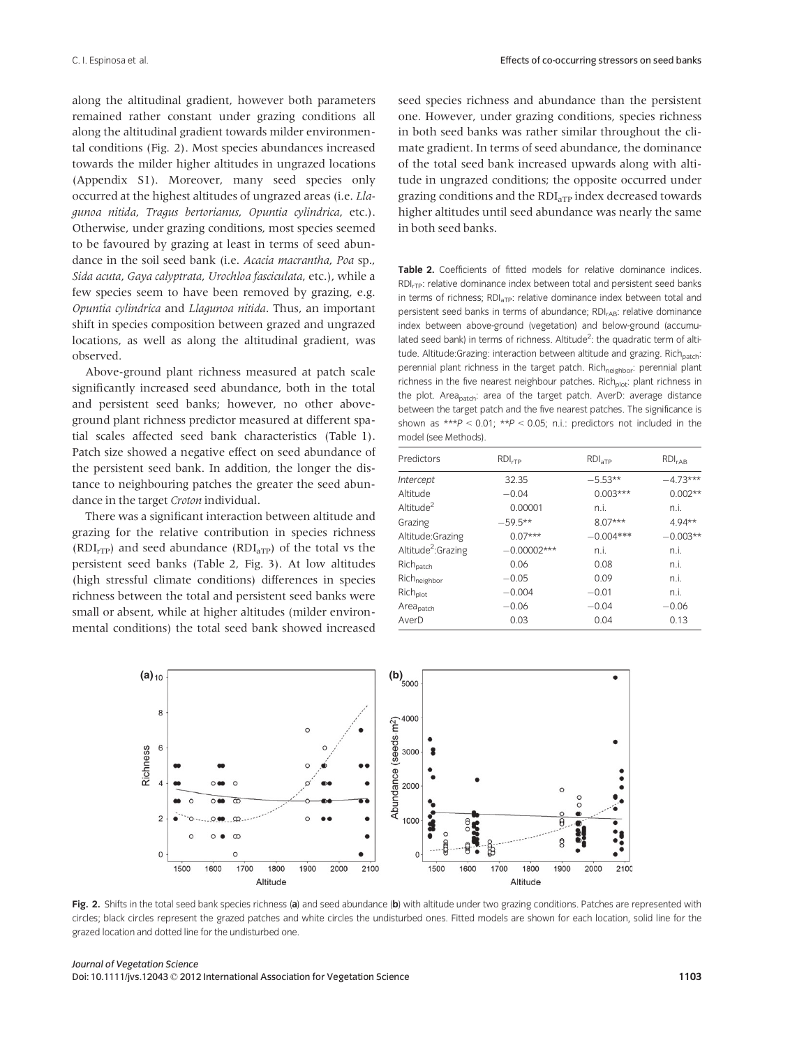along the altitudinal gradient, however both parameters remained rather constant under grazing conditions all along the altitudinal gradient towards milder environmental conditions (Fig. 2). Most species abundances increased towards the milder higher altitudes in ungrazed locations (Appendix S1). Moreover, many seed species only occurred at the highest altitudes of ungrazed areas (i.e. Llagunoa nitida, Tragus bertorianus, Opuntia cylindrica, etc.). Otherwise, under grazing conditions, most species seemed to be favoured by grazing at least in terms of seed abundance in the soil seed bank (i.e. Acacia macrantha, Poa sp., Sida acuta, Gaya calyptrata, Urochloa fasciculata, etc.), while a few species seem to have been removed by grazing, e.g. Opuntia cylindrica and Llagunoa nitida. Thus, an important shift in species composition between grazed and ungrazed locations, as well as along the altitudinal gradient, was observed.

Above-ground plant richness measured at patch scale significantly increased seed abundance, both in the total and persistent seed banks; however, no other aboveground plant richness predictor measured at different spatial scales affected seed bank characteristics (Table 1). Patch size showed a negative effect on seed abundance of the persistent seed bank. In addition, the longer the distance to neighbouring patches the greater the seed abundance in the target Croton individual.

There was a significant interaction between altitude and grazing for the relative contribution in species richness (RDI<sub>rTP</sub>) and seed abundance (RDI<sub>aTP</sub>) of the total vs the persistent seed banks (Table 2, Fig. 3). At low altitudes (high stressful climate conditions) differences in species richness between the total and persistent seed banks were small or absent, while at higher altitudes (milder environmental conditions) the total seed bank showed increased seed species richness and abundance than the persistent one. However, under grazing conditions, species richness in both seed banks was rather similar throughout the climate gradient. In terms of seed abundance, the dominance of the total seed bank increased upwards along with altitude in ungrazed conditions; the opposite occurred under grazing conditions and the RDI<sub>aTP</sub> index decreased towards higher altitudes until seed abundance was nearly the same in both seed banks.

Table 2. Coefficients of fitted models for relative dominance indices. RDI<sub>rTP</sub>: relative dominance index between total and persistent seed banks in terms of richness;  $RDI<sub>ATP</sub>$ : relative dominance index between total and persistent seed banks in terms of abundance; RDI<sub>rAB</sub>: relative dominance index between above-ground (vegetation) and below-ground (accumulated seed bank) in terms of richness. Altitude<sup>2</sup>: the quadratic term of altitude. Altitude:Grazing: interaction between altitude and grazing. Rich<sub>patch</sub>: perennial plant richness in the target patch. Rich<sub>neighbor</sub>: perennial plant richness in the five nearest neighbour patches. Rich<sub>plot</sub>: plant richness in the plot. Area<sub>patch</sub>: area of the target patch. AverD: average distance between the target patch and the five nearest patches. The significance is shown as  $***P < 0.01$ ;  $**P < 0.05$ ; n.i.: predictors not included in the model (see Methods).

| Predictors                      | RDI <sub>rTP</sub> | $RDI_{ATP}$ | $RDI_{rAB}$ |
|---------------------------------|--------------------|-------------|-------------|
| Intercept                       | 32.35              | $-5.53**$   | $-4.73***$  |
| Altitude                        | $-0.04$            | $0.003***$  | $0.002**$   |
| Altitude <sup>2</sup>           | 0.00001            | n.i.        | n.i.        |
| Grazing                         | $-59.5**$          | $8.07***$   | $4.94**$    |
| Altitude:Grazing                | $0.07***$          | $-0.004***$ | $-0.003**$  |
| Altitude <sup>2</sup> : Grazing | $-0.00002***$      | n.i.        | n.i.        |
| Rich <sub>patch</sub>           | 0.06               | 0.08        | n.i.        |
| Rich <sub>neighbor</sub>        | $-0.05$            | 0.09        | n.i.        |
| Rich <sub>plot</sub>            | $-0.004$           | $-0.01$     | n.i.        |
| Area <sub>patch</sub>           | $-0.06$            | $-0.04$     | $-0.06$     |
| AverD                           | 0.03               | 0.04        | 0.13        |



Fig. 2. Shifts in the total seed bank species richness (a) and seed abundance (b) with altitude under two grazing conditions. Patches are represented with circles; black circles represent the grazed patches and white circles the undisturbed ones. Fitted models are shown for each location, solid line for the grazed location and dotted line for the undisturbed one.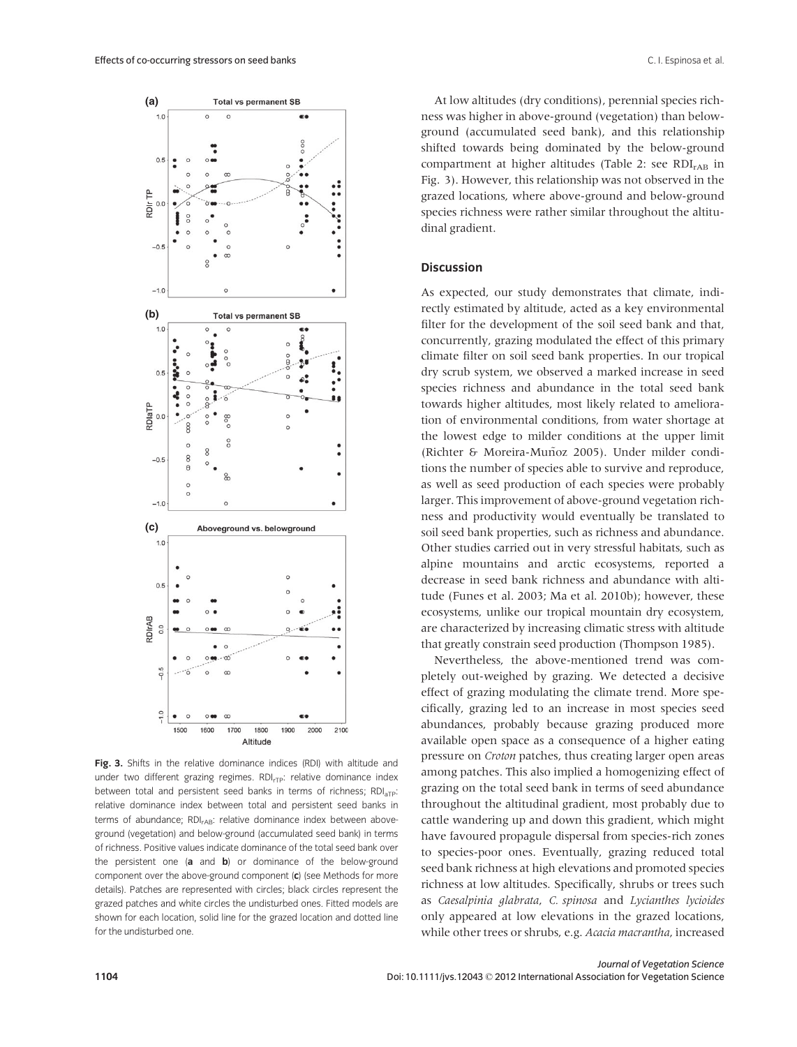

Fig. 3. Shifts in the relative dominance indices (RDI) with altitude and under two different grazing regimes. RDI<sub>rTP</sub>: relative dominance index between total and persistent seed banks in terms of richness; RDI<sub>aTP</sub>: relative dominance index between total and persistent seed banks in terms of abundance; RDI<sub>rAB</sub>: relative dominance index between aboveground (vegetation) and below-ground (accumulated seed bank) in terms of richness. Positive values indicate dominance of the total seed bank over the persistent one  $(a \text{ and } b)$  or dominance of the below-ground component over the above-ground component (c) (see Methods for more details). Patches are represented with circles; black circles represent the grazed patches and white circles the undisturbed ones. Fitted models are shown for each location, solid line for the grazed location and dotted line for the undisturbed one.

At low altitudes (dry conditions), perennial species richness was higher in above-ground (vegetation) than belowground (accumulated seed bank), and this relationship shifted towards being dominated by the below-ground compartment at higher altitudes (Table 2: see  $RDI<sub>rAB</sub>$  in Fig. 3). However, this relationship was not observed in the grazed locations, where above-ground and below-ground species richness were rather similar throughout the altitudinal gradient.

# Discussion

As expected, our study demonstrates that climate, indirectly estimated by altitude, acted as a key environmental filter for the development of the soil seed bank and that, concurrently, grazing modulated the effect of this primary climate filter on soil seed bank properties. In our tropical dry scrub system, we observed a marked increase in seed species richness and abundance in the total seed bank towards higher altitudes, most likely related to amelioration of environmental conditions, from water shortage at the lowest edge to milder conditions at the upper limit (Richter & Moreira-Munoz 2005). Under milder condi- ~ tions the number of species able to survive and reproduce, as well as seed production of each species were probably larger. This improvement of above-ground vegetation richness and productivity would eventually be translated to soil seed bank properties, such as richness and abundance. Other studies carried out in very stressful habitats, such as alpine mountains and arctic ecosystems, reported a decrease in seed bank richness and abundance with altitude (Funes et al. 2003; Ma et al. 2010b); however, these ecosystems, unlike our tropical mountain dry ecosystem, are characterized by increasing climatic stress with altitude that greatly constrain seed production (Thompson 1985).

Nevertheless, the above-mentioned trend was completely out-weighed by grazing. We detected a decisive effect of grazing modulating the climate trend. More specifically, grazing led to an increase in most species seed abundances, probably because grazing produced more available open space as a consequence of a higher eating pressure on Croton patches, thus creating larger open areas among patches. This also implied a homogenizing effect of grazing on the total seed bank in terms of seed abundance throughout the altitudinal gradient, most probably due to cattle wandering up and down this gradient, which might have favoured propagule dispersal from species-rich zones to species-poor ones. Eventually, grazing reduced total seed bank richness at high elevations and promoted species richness at low altitudes. Specifically, shrubs or trees such as Caesalpinia glabrata, C. spinosa and Lycianthes lycioides only appeared at low elevations in the grazed locations, while other trees or shrubs, e.g. Acacia macrantha, increased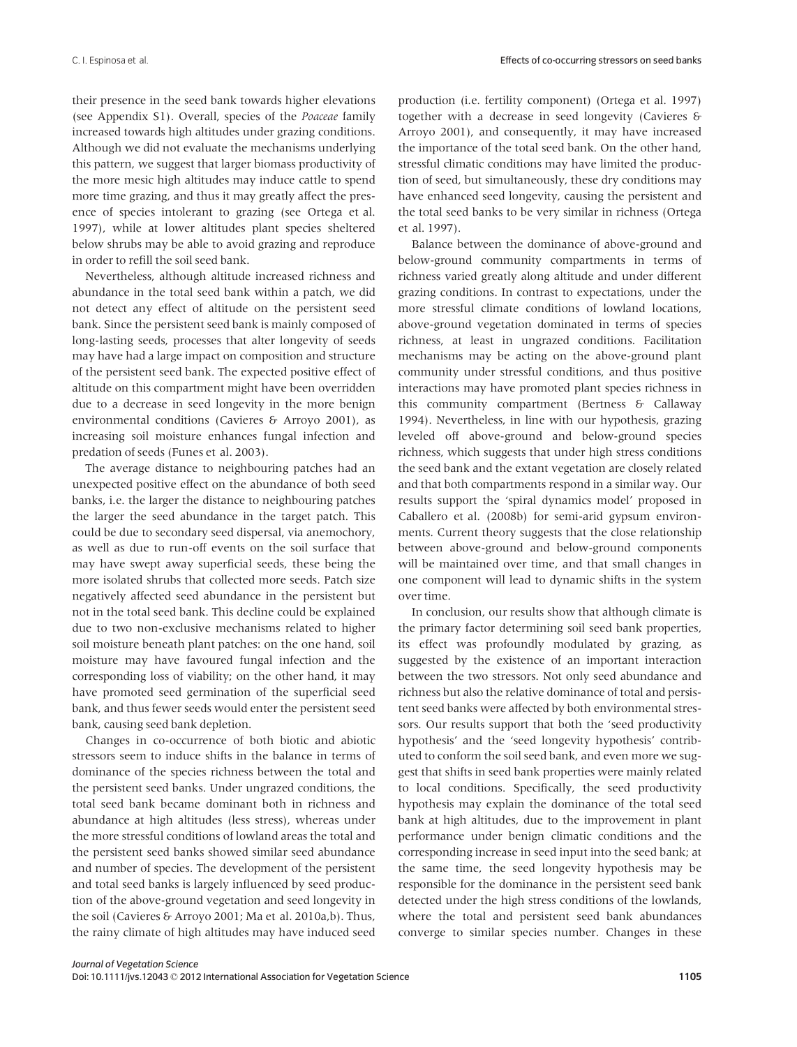their presence in the seed bank towards higher elevations (see Appendix S1). Overall, species of the Poaceae family increased towards high altitudes under grazing conditions. Although we did not evaluate the mechanisms underlying this pattern, we suggest that larger biomass productivity of the more mesic high altitudes may induce cattle to spend more time grazing, and thus it may greatly affect the presence of species intolerant to grazing (see Ortega et al. 1997), while at lower altitudes plant species sheltered below shrubs may be able to avoid grazing and reproduce in order to refill the soil seed bank.

Nevertheless, although altitude increased richness and abundance in the total seed bank within a patch, we did not detect any effect of altitude on the persistent seed bank. Since the persistent seed bank is mainly composed of long-lasting seeds, processes that alter longevity of seeds may have had a large impact on composition and structure of the persistent seed bank. The expected positive effect of altitude on this compartment might have been overridden due to a decrease in seed longevity in the more benign environmental conditions (Cavieres & Arroyo 2001), as increasing soil moisture enhances fungal infection and predation of seeds (Funes et al. 2003).

The average distance to neighbouring patches had an unexpected positive effect on the abundance of both seed banks, i.e. the larger the distance to neighbouring patches the larger the seed abundance in the target patch. This could be due to secondary seed dispersal, via anemochory, as well as due to run-off events on the soil surface that may have swept away superficial seeds, these being the more isolated shrubs that collected more seeds. Patch size negatively affected seed abundance in the persistent but not in the total seed bank. This decline could be explained due to two non-exclusive mechanisms related to higher soil moisture beneath plant patches: on the one hand, soil moisture may have favoured fungal infection and the corresponding loss of viability; on the other hand, it may have promoted seed germination of the superficial seed bank, and thus fewer seeds would enter the persistent seed bank, causing seed bank depletion.

Changes in co-occurrence of both biotic and abiotic stressors seem to induce shifts in the balance in terms of dominance of the species richness between the total and the persistent seed banks. Under ungrazed conditions, the total seed bank became dominant both in richness and abundance at high altitudes (less stress), whereas under the more stressful conditions of lowland areas the total and the persistent seed banks showed similar seed abundance and number of species. The development of the persistent and total seed banks is largely influenced by seed production of the above-ground vegetation and seed longevity in the soil (Cavieres & Arroyo 2001; Ma et al. 2010a,b). Thus, the rainy climate of high altitudes may have induced seed production (i.e. fertility component) (Ortega et al. 1997) together with a decrease in seed longevity (Cavieres & Arroyo 2001), and consequently, it may have increased the importance of the total seed bank. On the other hand, stressful climatic conditions may have limited the production of seed, but simultaneously, these dry conditions may have enhanced seed longevity, causing the persistent and the total seed banks to be very similar in richness (Ortega et al. 1997).

Balance between the dominance of above-ground and below-ground community compartments in terms of richness varied greatly along altitude and under different grazing conditions. In contrast to expectations, under the more stressful climate conditions of lowland locations, above-ground vegetation dominated in terms of species richness, at least in ungrazed conditions. Facilitation mechanisms may be acting on the above-ground plant community under stressful conditions, and thus positive interactions may have promoted plant species richness in this community compartment (Bertness & Callaway 1994). Nevertheless, in line with our hypothesis, grazing leveled off above-ground and below-ground species richness, which suggests that under high stress conditions the seed bank and the extant vegetation are closely related and that both compartments respond in a similar way. Our results support the 'spiral dynamics model' proposed in Caballero et al. (2008b) for semi-arid gypsum environments. Current theory suggests that the close relationship between above-ground and below-ground components will be maintained over time, and that small changes in one component will lead to dynamic shifts in the system over time.

In conclusion, our results show that although climate is the primary factor determining soil seed bank properties, its effect was profoundly modulated by grazing, as suggested by the existence of an important interaction between the two stressors. Not only seed abundance and richness but also the relative dominance of total and persistent seed banks were affected by both environmental stressors. Our results support that both the 'seed productivity hypothesis' and the 'seed longevity hypothesis' contributed to conform the soil seed bank, and even more we suggest that shifts in seed bank properties were mainly related to local conditions. Specifically, the seed productivity hypothesis may explain the dominance of the total seed bank at high altitudes, due to the improvement in plant performance under benign climatic conditions and the corresponding increase in seed input into the seed bank; at the same time, the seed longevity hypothesis may be responsible for the dominance in the persistent seed bank detected under the high stress conditions of the lowlands, where the total and persistent seed bank abundances converge to similar species number. Changes in these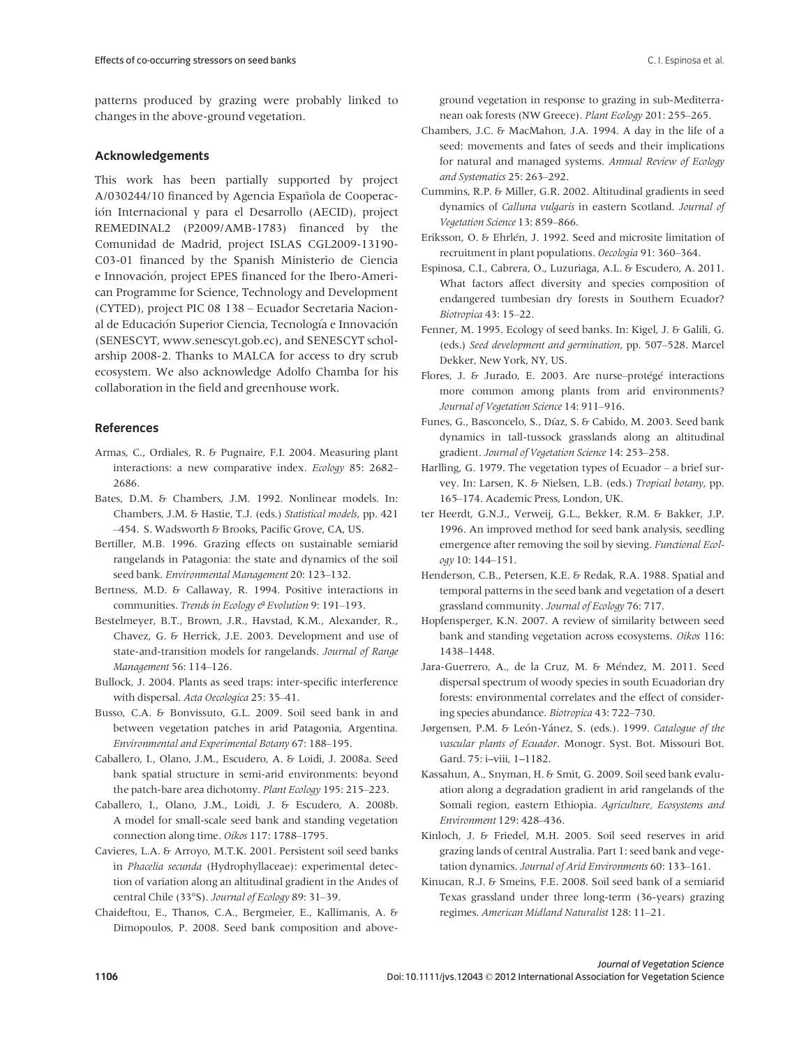patterns produced by grazing were probably linked to changes in the above-ground vegetation.

# Acknowledgements

This work has been partially supported by project A/030244/10 financed by Agencia Española de Cooperación Internacional y para el Desarrollo (AECID), project REMEDINAL2 (P2009/AMB-1783) financed by the Comunidad de Madrid, project ISLAS CGL2009-13190- C03-01 financed by the Spanish Ministerio de Ciencia e Innovacion, project EPES financed for the Ibero-Ameri can Programme for Science, Technology and Development (CYTED), project PIC 08 138 – Ecuador Secretaria Nacional de Educación Superior Ciencia, Tecnología e Innovación (SENESCYT, www.senescyt.gob.ec), and SENESCYT scholarship 2008-2. Thanks to MALCA for access to dry scrub ecosystem. We also acknowledge Adolfo Chamba for his collaboration in the field and greenhouse work.

# References

- Armas, C., Ordiales, R. & Pugnaire, F.I. 2004. Measuring plant interactions: a new comparative index. Ecology 85: 2682– 2686.
- Bates, D.M. & Chambers, J.M. 1992. Nonlinear models. In: Chambers, J.M. & Hastie, T.J. (eds.) Statistical models, pp. 421 –454. S. Wadsworth & Brooks, Pacific Grove, CA, US.
- Bertiller, M.B. 1996. Grazing effects on sustainable semiarid rangelands in Patagonia: the state and dynamics of the soil seed bank. Environmental Management 20: 123–132.
- Bertness, M.D. & Callaway, R. 1994. Positive interactions in communities. Trends in Ecology  $e^{i}$  Evolution 9: 191-193.
- Bestelmeyer, B.T., Brown, J.R., Havstad, K.M., Alexander, R., Chavez, G. & Herrick, J.E. 2003. Development and use of state-and-transition models for rangelands. Journal of Range Management 56: 114–126.
- Bullock, J. 2004. Plants as seed traps: inter-specific interference with dispersal. Acta Oecologica 25: 35–41.
- Busso, C.A. & Bonvissuto, G.L. 2009. Soil seed bank in and between vegetation patches in arid Patagonia, Argentina. Environmental and Experimental Botany 67: 188–195.
- Caballero, I., Olano, J.M., Escudero, A. & Loidi, J. 2008a. Seed bank spatial structure in semi-arid environments: beyond the patch-bare area dichotomy. Plant Ecology 195: 215–223.
- Caballero, I., Olano, J.M., Loidi, J. & Escudero, A. 2008b. A model for small-scale seed bank and standing vegetation connection along time. Oikos 117: 1788–1795.
- Cavieres, L.A. & Arroyo, M.T.K. 2001. Persistent soil seed banks in Phacelia secunda (Hydrophyllaceae): experimental detection of variation along an altitudinal gradient in the Andes of central Chile (33°S). Journal of Ecology 89: 31–39.
- Chaideftou, E., Thanos, C.A., Bergmeier, E., Kallimanis, A. & Dimopoulos, P. 2008. Seed bank composition and above-

ground vegetation in response to grazing in sub-Mediterranean oak forests (NW Greece). Plant Ecology 201: 255–265.

- Chambers, J.C. & MacMahon, J.A. 1994. A day in the life of a seed: movements and fates of seeds and their implications for natural and managed systems. Annual Review of Ecology and Systematics 25: 263–292.
- Cummins, R.P. & Miller, G.R. 2002. Altitudinal gradients in seed dynamics of Calluna vulgaris in eastern Scotland. Journal of Vegetation Science 13: 859–866.
- Eriksson, O. & Ehrlén, J. 1992. Seed and microsite limitation of recruitment in plant populations. Oecologia 91: 360–364.
- Espinosa, C.I., Cabrera, O., Luzuriaga, A.L. & Escudero, A. 2011. What factors affect diversity and species composition of endangered tumbesian dry forests in Southern Ecuador? Biotropica 43: 15–22.
- Fenner, M. 1995. Ecology of seed banks. In: Kigel, J. & Galili, G. (eds.) Seed development and germination, pp. 507–528. Marcel Dekker, New York, NY, US.
- Flores, J. & Jurado, E. 2003. Are nurse–protégé interactions more common among plants from arid environments? Journal of Vegetation Science 14: 911–916.
- Funes, G., Basconcelo, S., Dıaz, S. & Cabido, M. 2003. Seed bank dynamics in tall-tussock grasslands along an altitudinal gradient. Journal of Vegetation Science 14: 253–258.
- Harlling, G. 1979. The vegetation types of Ecuador a brief survey. In: Larsen, K. & Nielsen, L.B. (eds.) Tropical botany, pp. 165–174. Academic Press, London, UK.
- ter Heerdt, G.N.J., Verweij, G.L., Bekker, R.M. & Bakker, J.P. 1996. An improved method for seed bank analysis, seedling emergence after removing the soil by sieving. Functional Ecology 10: 144–151.
- Henderson, C.B., Petersen, K.E. & Redak, R.A. 1988. Spatial and temporal patterns in the seed bank and vegetation of a desert grassland community. Journal of Ecology 76: 717.
- Hopfensperger, K.N. 2007. A review of similarity between seed bank and standing vegetation across ecosystems. Oikos 116: 1438–1448.
- Jara-Guerrero, A., de la Cruz, M. & Mendez, M. 2011. Seed dispersal spectrum of woody species in south Ecuadorian dry forests: environmental correlates and the effect of considering species abundance. Biotropica 43: 722–730.
- Jørgensen, P.M. & León-Yánez, S. (eds.). 1999. Catalogue of the vascular plants of Ecuador. Monogr. Syst. Bot. Missouri Bot. Gard. 75: i–viii, 1–1182.
- Kassahun, A., Snyman, H. & Smit, G. 2009. Soil seed bank evaluation along a degradation gradient in arid rangelands of the Somali region, eastern Ethiopia. Agriculture, Ecosystems and Environment 129: 428–436.
- Kinloch, J. & Friedel, M.H. 2005. Soil seed reserves in arid grazing lands of central Australia. Part 1: seed bank and vegetation dynamics. Journal of Arid Environments 60: 133–161.
- Kinucan, R.J. & Smeins, F.E. 2008. Soil seed bank of a semiarid Texas grassland under three long-term (36-years) grazing regimes. American Midland Naturalist 128: 11–21.